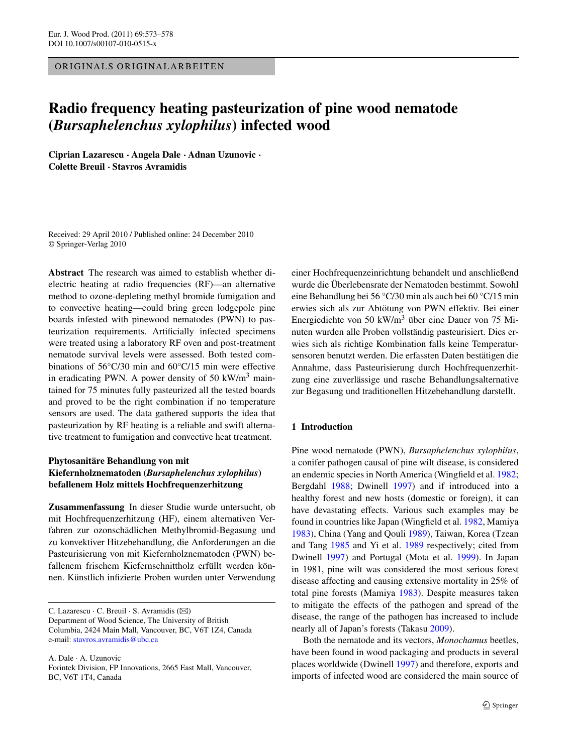ORIGINALS ORIGINALARBEITEN

# **Radio frequency heating pasteurization of pine wood nematode (***Bursaphelenchus xylophilus***) infected wood**

**Ciprian Lazarescu · Angela Dale · Adnan Uzunovic · Colette Breuil · Stavros Avramidis**

Received: 29 April 2010 / Published online: 24 December 2010 © Springer-Verlag 2010

**Abstract** The research was aimed to establish whether dielectric heating at radio frequencies (RF)—an alternative method to ozone-depleting methyl bromide fumigation and to convective heating—could bring green lodgepole pine boards infested with pinewood nematodes (PWN) to pasteurization requirements. Artificially infected specimens were treated using a laboratory RF oven and post-treatment nematode survival levels were assessed. Both tested combinations of 56°C/30 min and 60°C/15 min were effective in eradicating PWN. A power density of 50 kW/ $m<sup>3</sup>$  maintained for 75 minutes fully pasteurized all the tested boards and proved to be the right combination if no temperature sensors are used. The data gathered supports the idea that pasteurization by RF heating is a reliable and swift alternative treatment to fumigation and convective heat treatment.

# **Phytosanitäre Behandlung von mit Kiefernholznematoden (***Bursaphelenchus xylophilus***) befallenem Holz mittels Hochfrequenzerhitzung**

**Zusammenfassung** In dieser Studie wurde untersucht, ob mit Hochfrequenzerhitzung (HF), einem alternativen Verfahren zur ozonschädlichen Methylbromid-Begasung und zu konvektiver Hitzebehandlung, die Anforderungen an die Pasteurisierung von mit Kiefernholznematoden (PWN) befallenem frischem Kiefernschnittholz erfüllt werden können. Künstlich infizierte Proben wurden unter Verwendung

C. Lazarescu · C. Breuil · S. Avramidis ( $\boxtimes$ ) Department of Wood Science, The University of British Columbia, 2424 Main Mall, Vancouver, BC, V6T 1Z4, Canada e-mail: [stavros.avramidis@ubc.ca](mailto:stavros.avramidis@ubc.ca)

A. Dale · A. Uzunovic Forintek Division, FP Innovations, 2665 East Mall, Vancouver, BC, V6T 1T4, Canada

einer Hochfrequenzeinrichtung behandelt und anschließend wurde die Überlebensrate der Nematoden bestimmt. Sowohl eine Behandlung bei 56 °C/30 min als auch bei 60 °C/15 min erwies sich als zur Abtötung von PWN effektiv. Bei einer Energiedichte von 50 kW/m3 über eine Dauer von 75 Minuten wurden alle Proben vollständig pasteurisiert. Dies erwies sich als richtige Kombination falls keine Temperatursensoren benutzt werden. Die erfassten Daten bestätigen die Annahme, dass Pasteurisierung durch Hochfrequenzerhitzung eine zuverlässige und rasche Behandlungsalternative zur Begasung und traditionellen Hitzebehandlung darstellt.

# **1 Introduction**

Pine wood nematode (PWN), *Bursaphelenchus xylophilus*, a conifer pathogen causal of pine wilt disease, is considered an endemic species in North America (Wingfield et al. [1982](#page-5-0); Bergdahl [1988](#page-5-1); Dwinell [1997](#page-5-2)) and if introduced into a healthy forest and new hosts (domestic or foreign), it can have devastating effects. Various such examples may be found in countries like Japan (Wingfield et al. [1982](#page-5-0), Mamiya [1983\)](#page-5-3), China (Yang and Qouli [1989](#page-5-4)), Taiwan, Korea (Tzean and Tang [1985](#page-5-5) and Yi et al. [1989](#page-5-6) respectively; cited from Dwinell [1997\)](#page-5-2) and Portugal (Mota et al. [1999](#page-5-7)). In Japan in 1981, pine wilt was considered the most serious forest disease affecting and causing extensive mortality in 25% of total pine forests (Mamiya [1983](#page-5-3)). Despite measures taken to mitigate the effects of the pathogen and spread of the disease, the range of the pathogen has increased to include nearly all of Japan's forests (Takasu [2009](#page-5-8)).

Both the nematode and its vectors, *Monochamus* beetles, have been found in wood packaging and products in several places worldwide (Dwinell [1997](#page-5-2)) and therefore, exports and imports of infected wood are considered the main source of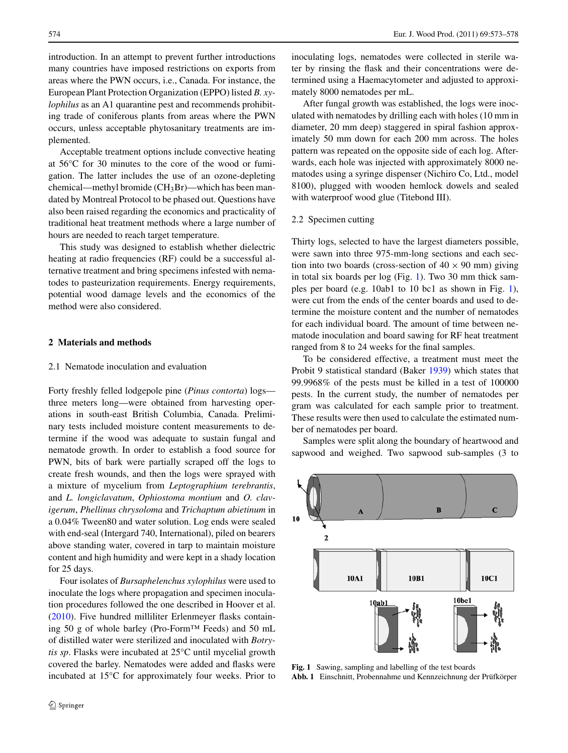introduction. In an attempt to prevent further introductions many countries have imposed restrictions on exports from areas where the PWN occurs, i.e., Canada. For instance, the European Plant Protection Organization (EPPO) listed *B. xylophilus* as an A1 quarantine pest and recommends prohibiting trade of coniferous plants from areas where the PWN occurs, unless acceptable phytosanitary treatments are implemented.

Acceptable treatment options include convective heating at 56°C for 30 minutes to the core of the wood or fumigation. The latter includes the use of an ozone-depleting chemical—methyl bromide (CH3Br)—which has been mandated by Montreal Protocol to be phased out. Questions have also been raised regarding the economics and practicality of traditional heat treatment methods where a large number of hours are needed to reach target temperature.

This study was designed to establish whether dielectric heating at radio frequencies (RF) could be a successful alternative treatment and bring specimens infested with nematodes to pasteurization requirements. Energy requirements, potential wood damage levels and the economics of the method were also considered.

# **2 Materials and methods**

#### 2.1 Nematode inoculation and evaluation

Forty freshly felled lodgepole pine (*Pinus contorta*) logs three meters long—were obtained from harvesting operations in south-east British Columbia, Canada. Preliminary tests included moisture content measurements to determine if the wood was adequate to sustain fungal and nematode growth. In order to establish a food source for PWN, bits of bark were partially scraped off the logs to create fresh wounds, and then the logs were sprayed with a mixture of mycelium from *Leptographium terebrantis*, and *L. longiclavatum*, *Ophiostoma montium* and *O. clavigerum*, *Phellinus chrysoloma* and *Trichaptum abietinum* in a 0.04% Tween80 and water solution. Log ends were sealed with end-seal (Intergard 740, International), piled on bearers above standing water, covered in tarp to maintain moisture content and high humidity and were kept in a shady location for 25 days.

Four isolates of *Bursaphelenchus xylophilus* were used to inoculate the logs where propagation and specimen inoculation procedures followed the one described in Hoover et al. [\(2010](#page-5-9)). Five hundred milliliter Erlenmeyer flasks containing 50 g of whole barley (Pro-Form™ Feeds) and 50 mL of distilled water were sterilized and inoculated with *Botrytis sp*. Flasks were incubated at 25°C until mycelial growth covered the barley. Nematodes were added and flasks were incubated at 15°C for approximately four weeks. Prior to inoculating logs, nematodes were collected in sterile water by rinsing the flask and their concentrations were determined using a Haemacytometer and adjusted to approximately 8000 nematodes per mL.

After fungal growth was established, the logs were inoculated with nematodes by drilling each with holes (10 mm in diameter, 20 mm deep) staggered in spiral fashion approximately 50 mm down for each 200 mm across. The holes pattern was repeated on the opposite side of each log. Afterwards, each hole was injected with approximately 8000 nematodes using a syringe dispenser (Nichiro Co, Ltd., model 8100), plugged with wooden hemlock dowels and sealed with waterproof wood glue (Titebond III).

#### 2.2 Specimen cutting

Thirty logs, selected to have the largest diameters possible, were sawn into three 975-mm-long sections and each section into two boards (cross-section of  $40 \times 90$  mm) giving in total six boards per log (Fig. [1\)](#page-1-0). Two 30 mm thick samples per board (e.g. 10ab1 to 10 bc1 as shown in Fig. [1](#page-1-0)), were cut from the ends of the center boards and used to determine the moisture content and the number of nematodes for each individual board. The amount of time between nematode inoculation and board sawing for RF heat treatment ranged from 8 to 24 weeks for the final samples.

To be considered effective, a treatment must meet the Probit 9 statistical standard (Baker [1939\)](#page-5-10) which states that 99.9968% of the pests must be killed in a test of 100000 pests. In the current study, the number of nematodes per gram was calculated for each sample prior to treatment. These results were then used to calculate the estimated number of nematodes per board.

Samples were split along the boundary of heartwood and sapwood and weighed. Two sapwood sub-samples (3 to



<span id="page-1-0"></span>**Fig. 1** Sawing, sampling and labelling of the test boards **Abb. 1** Einschnitt, Probennahme und Kennzeichnung der Prüfkörper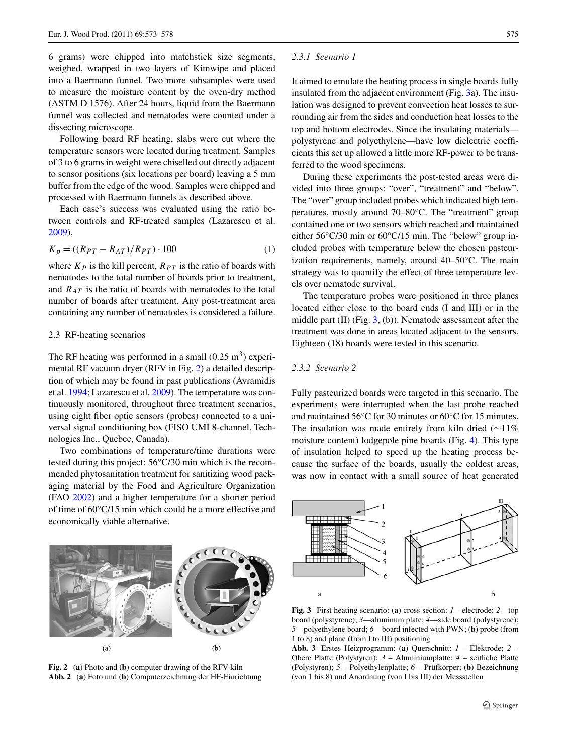6 grams) were chipped into matchstick size segments, weighed, wrapped in two layers of Kimwipe and placed into a Baermann funnel. Two more subsamples were used to measure the moisture content by the oven-dry method (ASTM D 1576). After 24 hours, liquid from the Baermann funnel was collected and nematodes were counted under a dissecting microscope.

<span id="page-2-2"></span>Following board RF heating, slabs were cut where the temperature sensors were located during treatment. Samples of 3 to 6 grams in weight were chiselled out directly adjacent to sensor positions (six locations per board) leaving a 5 mm buffer from the edge of the wood. Samples were chipped and processed with Baermann funnels as described above.

Each case's success was evaluated using the ratio between controls and RF-treated samples (Lazarescu et al. [2009\)](#page-5-11),

$$
K_p = ((R_{PT} - R_{AT})/R_{PT}) \cdot 100
$$
 (1)

where  $K_P$  is the kill percent,  $R_{PT}$  is the ratio of boards with nematodes to the total number of boards prior to treatment, and *RAT* is the ratio of boards with nematodes to the total number of boards after treatment. Any post-treatment area containing any number of nematodes is considered a failure.

#### 2.3 RF-heating scenarios

The RF heating was performed in a small  $(0.25 \text{ m}^3)$  experimental RF vacuum dryer (RFV in Fig. [2](#page-2-0)) a detailed description of which may be found in past publications (Avramidis et al. [1994;](#page-5-12) Lazarescu et al. [2009](#page-5-11)). The temperature was continuously monitored, throughout three treatment scenarios, using eight fiber optic sensors (probes) connected to a universal signal conditioning box (FISO UMI 8-channel, Technologies Inc., Quebec, Canada).

Two combinations of temperature/time durations were tested during this project: 56°C/30 min which is the recommended phytosanitation treatment for sanitizing wood packaging material by the Food and Agriculture Organization (FAO [2002](#page-5-13)) and a higher temperature for a shorter period of time of 60°C/15 min which could be a more effective and economically viable alternative.

# <span id="page-2-0"></span> $(a)$  $(b)$

**Fig. 2** (**a**) Photo and (**b**) computer drawing of the RFV-kiln **Abb. 2** (**a**) Foto und (**b**) Computerzeichnung der HF-Einrichtung

# *2.3.1 Scenario 1*

It aimed to emulate the heating process in single boards fully insulated from the adjacent environment (Fig. [3a](#page-2-1)). The insulation was designed to prevent convection heat losses to surrounding air from the sides and conduction heat losses to the top and bottom electrodes. Since the insulating materials polystyrene and polyethylene—have low dielectric coefficients this set up allowed a little more RF-power to be transferred to the wood specimens.

During these experiments the post-tested areas were divided into three groups: "over", "treatment" and "below". The "over" group included probes which indicated high temperatures, mostly around 70–80°C. The "treatment" group contained one or two sensors which reached and maintained either 56°C/30 min or 60°C/15 min. The "below" group included probes with temperature below the chosen pasteurization requirements, namely, around 40–50°C. The main strategy was to quantify the effect of three temperature levels over nematode survival.

The temperature probes were positioned in three planes located either close to the board ends (I and III) or in the middle part  $(II)$  (Fig. [3](#page-2-1), (b)). Nematode assessment after the treatment was done in areas located adjacent to the sensors. Eighteen (18) boards were tested in this scenario.

### *2.3.2 Scenario 2*

Fully pasteurized boards were targeted in this scenario. The experiments were interrupted when the last probe reached and maintained 56°C for 30 minutes or 60°C for 15 minutes. The insulation was made entirely from kiln dried (∼11% moisture content) lodgepole pine boards (Fig. [4\)](#page-3-0). This type of insulation helped to speed up the heating process because the surface of the boards, usually the coldest areas, was now in contact with a small source of heat generated



<span id="page-2-1"></span>**Fig. 3** First heating scenario: (**a**) cross section: *1*—electrode; *2*—top board (polystyrene); *3*—aluminum plate; *4*—side board (polystyrene); *5*—polyethylene board; *6*—board infected with PWN; (**b**) probe (from 1 to 8) and plane (from I to III) positioning

**Abb. 3** Erstes Heizprogramm: (**a**) Querschnitt: *1* – Elektrode; *2* – Obere Platte (Polystyren); *3* – Aluminiumplatte; *4* – seitliche Platte (Polystyren); *5* – Polyethylenplatte; *6* – Prüfkörper; (**b**) Bezeichnung (von 1 bis 8) und Anordnung (von I bis III) der Messstellen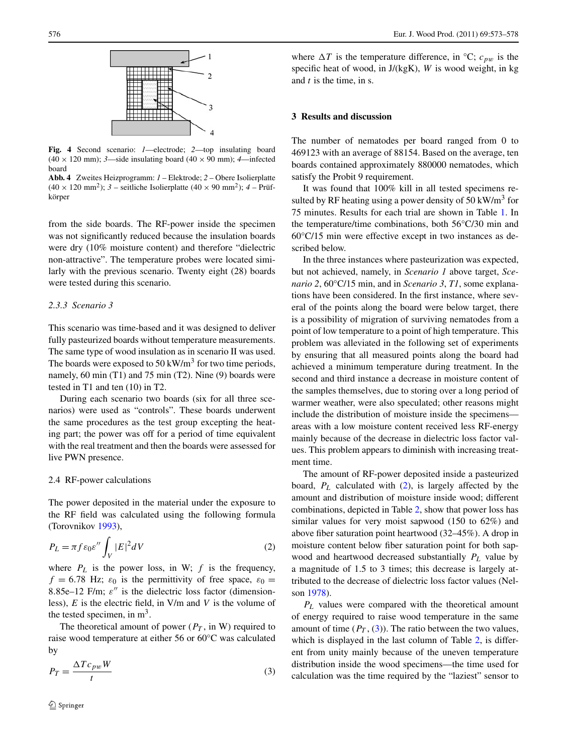

<span id="page-3-0"></span>**Fig. 4** Second scenario: *1*—electrode; *2*—top insulating board  $(40 \times 120 \text{ mm})$ ; *3*—side insulating board  $(40 \times 90 \text{ mm})$ ; *4*—infected board

**Abb. 4** Zweites Heizprogramm: *1* – Elektrode; *2* – Obere Isolierplatte  $(40 \times 120 \text{ mm}^2)$ ; *3* – seitliche Isolierplatte  $(40 \times 90 \text{ mm}^2)$ ; *4* – Prüfkörper

from the side boards. The RF-power inside the specimen was not significantly reduced because the insulation boards were dry (10% moisture content) and therefore "dielectric non-attractive". The temperature probes were located similarly with the previous scenario. Twenty eight (28) boards were tested during this scenario.

#### *2.3.3 Scenario 3*

This scenario was time-based and it was designed to deliver fully pasteurized boards without temperature measurements. The same type of wood insulation as in scenario II was used. The boards were exposed to 50 kW/m<sup>3</sup> for two time periods, namely, 60 min (T1) and 75 min (T2). Nine (9) boards were tested in T1 and ten (10) in T2.

During each scenario two boards (six for all three scenarios) were used as "controls". These boards underwent the same procedures as the test group excepting the heating part; the power was off for a period of time equivalent with the real treatment and then the boards were assessed for live PWN presence.

#### <span id="page-3-1"></span>2.4 RF-power calculations

The power deposited in the material under the exposure to the RF field was calculated using the following formula (Torovnikov [1993](#page-5-14)),

$$
P_L = \pi f \varepsilon_0 \varepsilon'' \int_V |E|^2 dV \tag{2}
$$

<span id="page-3-2"></span>where  $P_L$  is the power loss, in W;  $f$  is the frequency,  $f = 6.78$  Hz;  $\varepsilon_0$  is the permittivity of free space,  $\varepsilon_0 =$ 8.85e–12 F/m; *ε*" is the dielectric loss factor (dimensionless), *E* is the electric field, in V/m and *V* is the volume of the tested specimen, in  $m<sup>3</sup>$ .

The theoretical amount of power  $(P_T)$ , in W) required to raise wood temperature at either 56 or 60°C was calculated by

$$
P_T = \frac{\Delta T c_{pw} W}{t} \tag{3}
$$

where  $\Delta T$  is the temperature difference, in  ${}^{\circ}C$ ;  $c_{pw}$  is the specific heat of wood, in J/(kgK), *W* is wood weight, in kg and *t* is the time, in s.

#### **3 Results and discussion**

The number of nematodes per board ranged from 0 to 469123 with an average of 88154. Based on the average, ten boards contained approximately 880000 nematodes, which satisfy the Probit 9 requirement.

It was found that 100% kill in all tested specimens resulted by RF heating using a power density of  $50 \text{ kW/m}^3$  for 75 minutes. Results for each trial are shown in Table [1.](#page-4-0) In the temperature/time combinations, both 56°C/30 min and 60°C/15 min were effective except in two instances as described below.

In the three instances where pasteurization was expected, but not achieved, namely, in *Scenario 1* above target, *Scenario 2*, 60°C/15 min, and in *Scenario 3*, *T1*, some explanations have been considered. In the first instance, where several of the points along the board were below target, there is a possibility of migration of surviving nematodes from a point of low temperature to a point of high temperature. This problem was alleviated in the following set of experiments by ensuring that all measured points along the board had achieved a minimum temperature during treatment. In the second and third instance a decrease in moisture content of the samples themselves, due to storing over a long period of warmer weather, were also speculated; other reasons might include the distribution of moisture inside the specimens areas with a low moisture content received less RF-energy mainly because of the decrease in dielectric loss factor values. This problem appears to diminish with increasing treatment time.

The amount of RF-power deposited inside a pasteurized board, *PL* calculated with ([2\)](#page-3-1), is largely affected by the amount and distribution of moisture inside wood; different combinations, depicted in Table [2](#page-4-1), show that power loss has similar values for very moist sapwood (150 to 62%) and above fiber saturation point heartwood (32–45%). A drop in moisture content below fiber saturation point for both sapwood and heartwood decreased substantially *PL* value by a magnitude of 1.5 to 3 times; this decrease is largely attributed to the decrease of dielectric loss factor values (Nelson [1978](#page-5-15)).

*PL* values were compared with the theoretical amount of energy required to raise wood temperature in the same amount of time  $(P_T, (3))$  $(P_T, (3))$  $(P_T, (3))$ . The ratio between the two values, which is displayed in the last column of Table [2](#page-4-1), is different from unity mainly because of the uneven temperature distribution inside the wood specimens—the time used for calculation was the time required by the "laziest" sensor to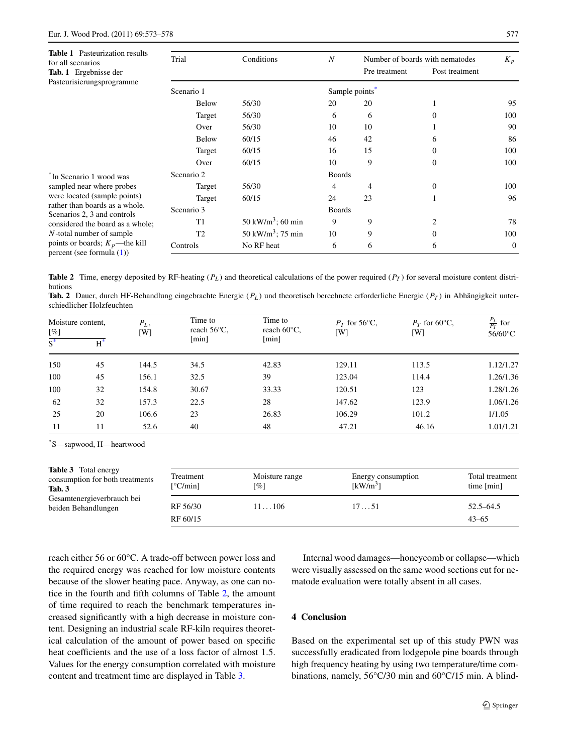<span id="page-4-0"></span>**Table 1** Pasteurization results for all scenarios **Tab. 1** Ergebnisse der

<span id="page-4-2"></span>

| for all scenarios                                                                                                                                                                                                                                                                                      | Trial          | Conditions                    | N             | Number of boards with nematodes |                | $K_p$    |
|--------------------------------------------------------------------------------------------------------------------------------------------------------------------------------------------------------------------------------------------------------------------------------------------------------|----------------|-------------------------------|---------------|---------------------------------|----------------|----------|
| Tab. 1 Ergebnisse der<br>Pasteurisierungsprogramme                                                                                                                                                                                                                                                     |                |                               |               | Pre treatment                   | Post treatment |          |
|                                                                                                                                                                                                                                                                                                        | Scenario 1     |                               |               | Sample points <sup>*</sup>      |                |          |
|                                                                                                                                                                                                                                                                                                        | <b>Below</b>   | 56/30                         | 20            | 20                              |                | 95       |
|                                                                                                                                                                                                                                                                                                        | Target         | 56/30                         | 6             | 6                               | $\Omega$       | 100      |
|                                                                                                                                                                                                                                                                                                        | Over           | 56/30                         | 10            | 10                              |                | 90       |
|                                                                                                                                                                                                                                                                                                        | Below          | 60/15                         | 46            | 42                              | 6              | 86       |
|                                                                                                                                                                                                                                                                                                        | Target         | 60/15                         | 16            | 15                              | $\Omega$       | 100      |
|                                                                                                                                                                                                                                                                                                        | Over           | 60/15                         | 10            | 9                               | $\Omega$       | 100      |
| <sup>*</sup> In Scenario 1 wood was<br>sampled near where probes<br>were located (sample points)<br>rather than boards as a whole.<br>Scenarios 2, 3 and controls<br>considered the board as a whole;<br>N-total number of sample<br>points or boards; $K_p$ —the kill<br>percent (see formula $(1)$ ) | Scenario 2     |                               | <b>Boards</b> |                                 |                |          |
|                                                                                                                                                                                                                                                                                                        | Target         | 56/30                         | 4             | 4                               | $\Omega$       | 100      |
|                                                                                                                                                                                                                                                                                                        | Target         | 60/15                         | 24            | 23                              |                | 96       |
|                                                                                                                                                                                                                                                                                                        | Scenario 3     |                               | <b>Boards</b> |                                 |                |          |
|                                                                                                                                                                                                                                                                                                        | T1             | 50 kW/m <sup>3</sup> ; 60 min | 9             | 9                               | 2              | 78       |
|                                                                                                                                                                                                                                                                                                        | T <sub>2</sub> | 50 kW/m <sup>3</sup> ; 75 min | 10            | 9                               | $\Omega$       | 100      |
|                                                                                                                                                                                                                                                                                                        | Controls       | No RF heat                    | 6             | 6                               | 6              | $\theta$ |

<span id="page-4-1"></span>**Table 2** Time, energy deposited by RF-heating  $(P_L)$  and theoretical calculations of the power required  $(P_T)$  for several moisture content distributions

**Tab. 2** Dauer, durch HF-Behandlung eingebrachte Energie (*PL*) und theoretisch berechnete erforderliche Energie (*PT* ) in Abhängigkeit unterschiedlicher Holzfeuchten

<span id="page-4-3"></span>

| Moisture content,<br>$[\%]$ |       | $P_L$ ,<br>[W] | Time to<br>reach $56^{\circ}$ C, | Time to<br>reach $60^{\circ}$ C, | $P_T$ for 56°C,<br>[W] | $P_T$ for 60°C,<br>[W] | $\frac{P_L}{P_T}$ for<br>56/60°C |
|-----------------------------|-------|----------------|----------------------------------|----------------------------------|------------------------|------------------------|----------------------------------|
| $S^*$                       | $H^*$ |                | [min]<br>[min]                   |                                  |                        |                        |                                  |
| 150                         | 45    | 144.5          | 34.5                             | 42.83                            | 129.11                 | 113.5                  | 1.12/1.27                        |
| 100                         | 45    | 156.1          | 32.5                             | 39                               | 123.04                 | 114.4                  | 1.26/1.36                        |
| 100                         | 32    | 154.8          | 30.67                            | 33.33                            | 120.51                 | 123                    | 1.28/1.26                        |
| 62                          | 32    | 157.3          | 22.5                             | 28                               | 147.62                 | 123.9                  | 1.06/1.26                        |
| 25                          | 20    | 106.6          | 23                               | 26.83                            | 106.29                 | 101.2                  | 1/1.05                           |
| 11                          | 11    | 52.6           | 40                               | 48                               | 47.21                  | 46.16                  | 1.01/1.21                        |

<span id="page-4-4"></span>\*S—sapwood, H—heartwood

| <b>Table 3</b> Total energy<br>consumption for both treatments<br>Tab. 3 | Treatment<br>[°C/min] | Moisture range<br>[%] | Energy consumption<br>[kW/m <sup>3</sup> ] | Total treatment<br>time [min] |
|--------------------------------------------------------------------------|-----------------------|-----------------------|--------------------------------------------|-------------------------------|
| Gesamtenergieverbrauch bei<br>beiden Behandlungen                        | RF 56/30<br>RF 60/15  | 11106                 | 1751                                       | $52.5 - 64.5$<br>$43 - 65$    |

reach either 56 or 60°C. A trade-off between power loss and the required energy was reached for low moisture contents because of the slower heating pace. Anyway, as one can notice in the fourth and fifth columns of Table [2](#page-4-1), the amount of time required to reach the benchmark temperatures increased significantly with a high decrease in moisture content. Designing an industrial scale RF-kiln requires theoretical calculation of the amount of power based on specific heat coefficients and the use of a loss factor of almost 1.5. Values for the energy consumption correlated with moisture content and treatment time are displayed in Table [3.](#page-4-4)

Internal wood damages—honeycomb or collapse—which were visually assessed on the same wood sections cut for nematode evaluation were totally absent in all cases.

# **4 Conclusion**

Based on the experimental set up of this study PWN was successfully eradicated from lodgepole pine boards through high frequency heating by using two temperature/time combinations, namely, 56°C/30 min and 60°C/15 min. A blind